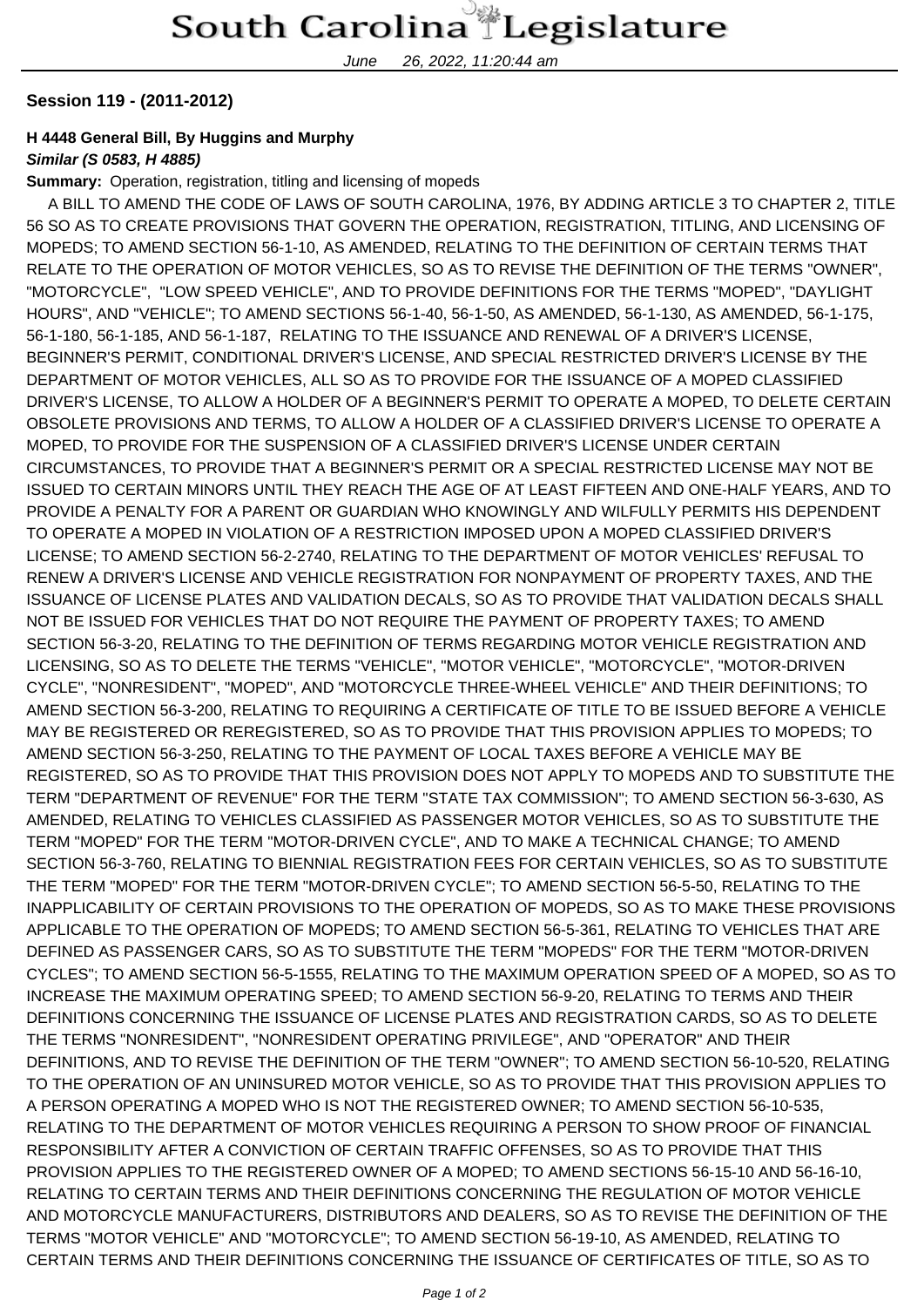June 26, 2022, 11:20:44 am

## **Session 119 - (2011-2012)**

## **H 4448 General Bill, By Huggins and Murphy**

## **Similar (S 0583, H 4885)**

**Summary:** Operation, registration, titling and licensing of mopeds

 A BILL TO AMEND THE CODE OF LAWS OF SOUTH CAROLINA, 1976, BY ADDING ARTICLE 3 TO CHAPTER 2, TITLE 56 SO AS TO CREATE PROVISIONS THAT GOVERN THE OPERATION, REGISTRATION, TITLING, AND LICENSING OF MOPEDS; TO AMEND SECTION 56-1-10, AS AMENDED, RELATING TO THE DEFINITION OF CERTAIN TERMS THAT RELATE TO THE OPERATION OF MOTOR VEHICLES, SO AS TO REVISE THE DEFINITION OF THE TERMS "OWNER", "MOTORCYCLE", "LOW SPEED VEHICLE", AND TO PROVIDE DEFINITIONS FOR THE TERMS "MOPED", "DAYLIGHT HOURS", AND "VEHICLE"; TO AMEND SECTIONS 56-1-40, 56-1-50, AS AMENDED, 56-1-130, AS AMENDED, 56-1-175, 56-1-180, 56-1-185, AND 56-1-187, RELATING TO THE ISSUANCE AND RENEWAL OF A DRIVER'S LICENSE, BEGINNER'S PERMIT, CONDITIONAL DRIVER'S LICENSE, AND SPECIAL RESTRICTED DRIVER'S LICENSE BY THE DEPARTMENT OF MOTOR VEHICLES, ALL SO AS TO PROVIDE FOR THE ISSUANCE OF A MOPED CLASSIFIED DRIVER'S LICENSE, TO ALLOW A HOLDER OF A BEGINNER'S PERMIT TO OPERATE A MOPED, TO DELETE CERTAIN OBSOLETE PROVISIONS AND TERMS, TO ALLOW A HOLDER OF A CLASSIFIED DRIVER'S LICENSE TO OPERATE A MOPED, TO PROVIDE FOR THE SUSPENSION OF A CLASSIFIED DRIVER'S LICENSE UNDER CERTAIN CIRCUMSTANCES, TO PROVIDE THAT A BEGINNER'S PERMIT OR A SPECIAL RESTRICTED LICENSE MAY NOT BE ISSUED TO CERTAIN MINORS UNTIL THEY REACH THE AGE OF AT LEAST FIFTEEN AND ONE-HALF YEARS, AND TO PROVIDE A PENALTY FOR A PARENT OR GUARDIAN WHO KNOWINGLY AND WILFULLY PERMITS HIS DEPENDENT TO OPERATE A MOPED IN VIOLATION OF A RESTRICTION IMPOSED UPON A MOPED CLASSIFIED DRIVER'S LICENSE; TO AMEND SECTION 56-2-2740, RELATING TO THE DEPARTMENT OF MOTOR VEHICLES' REFUSAL TO RENEW A DRIVER'S LICENSE AND VEHICLE REGISTRATION FOR NONPAYMENT OF PROPERTY TAXES, AND THE ISSUANCE OF LICENSE PLATES AND VALIDATION DECALS, SO AS TO PROVIDE THAT VALIDATION DECALS SHALL NOT BE ISSUED FOR VEHICLES THAT DO NOT REQUIRE THE PAYMENT OF PROPERTY TAXES; TO AMEND SECTION 56-3-20, RELATING TO THE DEFINITION OF TERMS REGARDING MOTOR VEHICLE REGISTRATION AND LICENSING, SO AS TO DELETE THE TERMS "VEHICLE", "MOTOR VEHICLE", "MOTORCYCLE", "MOTOR-DRIVEN CYCLE", "NONRESIDENT", "MOPED", AND "MOTORCYCLE THREE-WHEEL VEHICLE" AND THEIR DEFINITIONS; TO AMEND SECTION 56-3-200, RELATING TO REQUIRING A CERTIFICATE OF TITLE TO BE ISSUED BEFORE A VEHICLE MAY BE REGISTERED OR REREGISTERED, SO AS TO PROVIDE THAT THIS PROVISION APPLIES TO MOPEDS; TO AMEND SECTION 56-3-250, RELATING TO THE PAYMENT OF LOCAL TAXES BEFORE A VEHICLE MAY BE REGISTERED, SO AS TO PROVIDE THAT THIS PROVISION DOES NOT APPLY TO MOPEDS AND TO SUBSTITUTE THE TERM "DEPARTMENT OF REVENUE" FOR THE TERM "STATE TAX COMMISSION"; TO AMEND SECTION 56-3-630, AS AMENDED, RELATING TO VEHICLES CLASSIFIED AS PASSENGER MOTOR VEHICLES, SO AS TO SUBSTITUTE THE TERM "MOPED" FOR THE TERM "MOTOR-DRIVEN CYCLE", AND TO MAKE A TECHNICAL CHANGE; TO AMEND SECTION 56-3-760, RELATING TO BIENNIAL REGISTRATION FEES FOR CERTAIN VEHICLES, SO AS TO SUBSTITUTE THE TERM "MOPED" FOR THE TERM "MOTOR-DRIVEN CYCLE"; TO AMEND SECTION 56-5-50, RELATING TO THE INAPPLICABILITY OF CERTAIN PROVISIONS TO THE OPERATION OF MOPEDS, SO AS TO MAKE THESE PROVISIONS APPLICABLE TO THE OPERATION OF MOPEDS; TO AMEND SECTION 56-5-361, RELATING TO VEHICLES THAT ARE DEFINED AS PASSENGER CARS, SO AS TO SUBSTITUTE THE TERM "MOPEDS" FOR THE TERM "MOTOR-DRIVEN CYCLES"; TO AMEND SECTION 56-5-1555, RELATING TO THE MAXIMUM OPERATION SPEED OF A MOPED, SO AS TO INCREASE THE MAXIMUM OPERATING SPEED; TO AMEND SECTION 56-9-20, RELATING TO TERMS AND THEIR DEFINITIONS CONCERNING THE ISSUANCE OF LICENSE PLATES AND REGISTRATION CARDS, SO AS TO DELETE THE TERMS "NONRESIDENT", "NONRESIDENT OPERATING PRIVILEGE", AND "OPERATOR" AND THEIR DEFINITIONS, AND TO REVISE THE DEFINITION OF THE TERM "OWNER"; TO AMEND SECTION 56-10-520, RELATING TO THE OPERATION OF AN UNINSURED MOTOR VEHICLE, SO AS TO PROVIDE THAT THIS PROVISION APPLIES TO A PERSON OPERATING A MOPED WHO IS NOT THE REGISTERED OWNER; TO AMEND SECTION 56-10-535, RELATING TO THE DEPARTMENT OF MOTOR VEHICLES REQUIRING A PERSON TO SHOW PROOF OF FINANCIAL RESPONSIBILITY AFTER A CONVICTION OF CERTAIN TRAFFIC OFFENSES, SO AS TO PROVIDE THAT THIS PROVISION APPLIES TO THE REGISTERED OWNER OF A MOPED; TO AMEND SECTIONS 56-15-10 AND 56-16-10, RELATING TO CERTAIN TERMS AND THEIR DEFINITIONS CONCERNING THE REGULATION OF MOTOR VEHICLE AND MOTORCYCLE MANUFACTURERS, DISTRIBUTORS AND DEALERS, SO AS TO REVISE THE DEFINITION OF THE TERMS "MOTOR VEHICLE" AND "MOTORCYCLE"; TO AMEND SECTION 56-19-10, AS AMENDED, RELATING TO CERTAIN TERMS AND THEIR DEFINITIONS CONCERNING THE ISSUANCE OF CERTIFICATES OF TITLE, SO AS TO